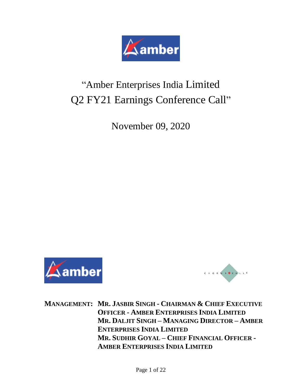

# "Amber Enterprises India Limited Q2 FY21 Earnings Conference Call"

November 09, 2020





**MANAGEMENT: MR. JASBIR SINGH - CHAIRMAN & CHIEF EXECUTIVE OFFICER - AMBER ENTERPRISES INDIA LIMITED MR. DALJIT SINGH – MANAGING DIRECTOR – AMBER ENTERPRISES INDIA LIMITED MR. SUDHIR GOYAL – CHIEF FINANCIAL OFFICER - AMBER ENTERPRISES INDIA LIMITED**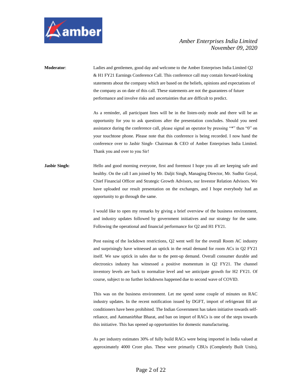

**Moderator**: Ladies and gentlemen, good day and welcome to the Amber Enterprises India Limited Q2 & H1 FY21 Earnings Conference Call. This conference call may contain forward-looking statements about the company which are based on the beliefs, opinions and expectations of the company as on date of this call. These statements are not the guarantees of future performance and involve risks and uncertainties that are difficult to predict.

> As a reminder, all participant lines will be in the listen-only mode and there will be an opportunity for you to ask questions after the presentation concludes. Should you need assistance during the conference call, please signal an operator by pressing "\*" then "0" on your touchtone phone. Please note that this conference is being recorded. I now hand the conference over to Jasbir Singh- Chairman & CEO of Amber Enterprises India Limited. Thank you and over to you Sir!

# **Jasbir Singh:** Hello and good morning everyone, first and foremost I hope you all are keeping safe and healthy. On the call I am joined by Mr. Daljit Singh, Managing Director, Mr. Sudhir Goyal, Chief Financial Officer and Strategic Growth Advisors, our Investor Relation Advisors. We have uploaded our result presentation on the exchanges, and I hope everybody had an opportunity to go through the same.

I would like to open my remarks by giving a brief overview of the business environment, and industry updates followed by government initiatives and our strategy for the same. Following the operational and financial performance for Q2 and H1 FY21.

Post easing of the lockdown restrictions, Q2 went well for the overall Room AC industry and surprisingly have witnessed an uptick in the retail demand for room ACs in Q2 FY21 itself. We saw uptick in sales due to the pent-up demand. Overall consumer durable and electronics industry has witnessed a positive momentum in Q2 FY21. The channel inventory levels are back to normalize level and we anticipate growth for H2 FY21. Of course, subject to no further lockdowns happened due to second wave of COVID.

This was on the business environment. Let me spend some couple of minutes on RAC industry updates. In the recent notification issued by DGFT, import of refrigerant fill air conditioners have been prohibited. The Indian Government has taken initiative towards selfreliance, and Aatmanirbhar Bharat, and ban on import of RACs is one of the steps towards this initiative. This has opened up opportunities for domestic manufacturing.

As per industry estimates 30% of fully build RACs were being imported in India valued at approximately 4000 Crore plus. These were primarily CBUs (Completely Built Units),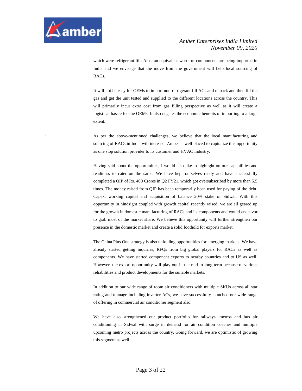

which were refrigerant fill. Also, an equivalent worth of components are being imported in India and we envisage that the move from the government will help local sourcing of RACs.

It will not be easy for OEMs to import non-refrigerant fill ACs and unpack and then fill the gas and get the unit tested and supplied to the different locations across the country. This will primarily incur extra cost from gas filling perspective as well as it will create a logistical hassle for the OEMs. It also negates the economic benefits of importing to a large extent.

' As per the above-mentioned challenges, we believe that the local manufacturing and sourcing of RACs in India will increase. Amber is well placed to capitalize this opportunity as one stop solution provider to its customer and HVAC Industry.

Having said about the opportunities, I would also like to highlight on our capabilities and readiness to cater on the same. We have kept ourselves ready and have successfully completed a QIP of Rs. 400 Crores in Q2 FY21, which got oversubscribed by more than 5.5 times. The money raised from QIP has been temporarily been used for paying of the debt, Capex, working capital and acquisition of balance 20% stake of Sidwal. With this opportunity in hindsight coupled with growth capital recently raised, we are all geared up for the growth in domestic manufacturing of RACs and its components and would endeavor to grab most of the market share. We believe this opportunity will further strengthen our presence in the domestic market and create a solid foothold for exports market.

The China Plus One strategy is also unfolding opportunities for emerging markets. We have already started getting inquiries, RFQs from big global players for RACs as well as components. We have started component exports to nearby countries and to US as well. However, the export opportunity will play out in the mid to long-term because of various reliabilities and product developments for the suitable markets.

In addition to our wide range of room air conditioners with multiple SKUs across all star rating and tonnage including inverter ACs, we have successfully launched our wide range of offering in commercial air conditioner segment also.

We have also strengthened our product portfolio for railways, metros and bus air conditioning in Sidwal with surge in demand for air condition coaches and multiple upcoming metro projects across the country. Going forward, we are optimistic of growing this segment as well.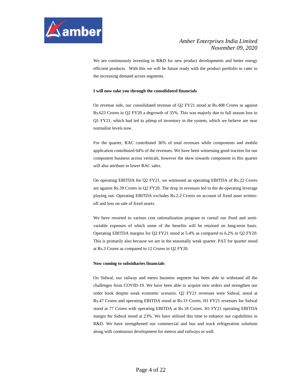

We are continuously investing in R&D for new product developments and better energy efficient products. With this we will be future ready with the product portfolio to cater to the increasing demand across segments.

#### **I will now take you through the consolidated financials**

On revenue side, our consolidated revenue of Q2 FY21 stood at Rs.408 Crores as against Rs.623 Crores in Q2 FY20 a degrowth of 35%. This was majorly due to full season loss in Q1 FY21, which had led to pileup of inventory in the system, which we believe are near normalize levels now.

For the quarter, RAC contributed 36% of total revenues while components and mobile application contributed 64% of the revenues. We have been witnessing good traction for our component business across verticals, however the skew towards component in this quarter will also attribute to lower RAC sales.

On operating EBITDA for Q2 FY21, we witnessed an operating EBITDA of Rs.22 Crores are against Rs.39 Crores in Q2 FY20. The drop in revenues led to the de-operating leverage playing out. Operating EBITDA excludes Rs.2.2 Crores on account of fixed asset writtenoff and loss on sale of fixed assets.

We have resorted to various cost rationalization program to curtail our fixed and semivariable expenses of which some of the benefits will be retained on long-term basis. Operating EBITDA margins for Q2 FY21 stood at 5.4% as compared to 6.2% in Q2 FY20. This is primarily also because we are in the seasonally weak quarter. PAT for quarter stood at Rs.3 Crores as compared to 12 Crores in Q2 FY20.

#### **Now coming to subsidiaries financials**

On Sidwal, our railway and metro business segment has been able to withstand all the challenges from COVID-19. We have been able to acquire new orders and strengthen our order book despite weak economic scenario. Q2 FY21 revenues were Sidwal, stood at Rs.47 Crores and operating EBITDA stood at Rs.13 Crores. H1 FY21 revenues for Sidwal stood at 77 Crores with operating EBITDA at Rs.18 Crores. H1 FY21 operating EBITDA margin for Sidwal stood at 23%. We have utilized this time to enhance our capabilities in R&D. We have strengthened our commercial and bus and truck refrigeration solutions along with continuous development for metros and railways as well.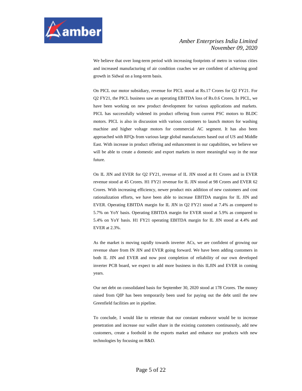

We believe that over long-term period with increasing footprints of metro in various cities and increased manufacturing of air condition coaches we are confident of achieving good growth in Sidwal on a long-term basis.

On PICL our motor subsidiary, revenue for PICL stood at Rs.17 Crores for Q2 FY21. For Q2 FY21, the PICL business saw an operating EBITDA loss of Rs.0.6 Crores. In PICL, we have been working on new product development for various applications and markets. PICL has successfully widened its product offering from current PSC motors to BLDC motors. PICL is also in discussion with various customers to launch motors for washing machine and higher voltage motors for commercial AC segment. It has also been approached with RFQs from various large global manufactures based out of US and Middle East. With increase in product offering and enhancement in our capabilities, we believe we will be able to create a domestic and export markets in more meaningful way in the near future.

On IL JIN and EVER for Q2 FY21, revenue of IL JIN stood at 81 Crores and in EVER revenue stood at 45 Crores. H1 FY21 revenue for IL JIN stood at 98 Crores and EVER 62 Crores. With increasing efficiency, newer product mix addition of new customers and cost rationalization efforts, we have been able to increase EBITDA margins for IL JIN and EVER. Operating EBITDA margin for IL JIN in Q2 FY21 stood at 7.4% as compared to 5.7% on YoY basis. Operating EBITDA margin for EVER stood at 5.9% as compared to 5.4% on YoY basis. H1 FY21 operating EBITDA margin for IL JIN stood at 4.4% and EVER at 2.3%.

As the market is moving rapidly towards inverter ACs, we are confident of growing our revenue share from IN JIN and EVER going forward. We have been adding customers in both IL JIN and EVER and now post completion of reliability of our own developed inverter PCB board, we expect to add more business in this ILJIN and EVER in coming years.

Our net debt on consolidated basis for September 30, 2020 stood at 178 Crores. The money raised from QIP has been temporarily been used for paying out the debt until the new Greenfield facilities are in pipeline.

To conclude, I would like to reiterate that our constant endeavor would be to increase penetration and increase our wallet share in the existing customers continuously, add new customers, create a foothold in the exports market and enhance our products with new technologies by focusing on R&D.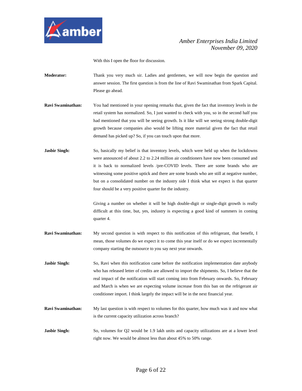

With this I open the floor for discussion.

- **Moderator:** Thank you very much sir. Ladies and gentlemen, we will now begin the question and answer session. The first question is from the line of Ravi Swaminathan from Spark Capital. Please go ahead.
- **Ravi Swaminathan:** You had mentioned in your opening remarks that, given the fact that inventory levels in the retail system has normalized. So, I just wanted to check with you, so in the second half you had mentioned that you will be seeing growth. Is it like will we seeing strong double-digit growth because companies also would be lifting more material given the fact that retail demand has picked up? So, if you can touch upon that more.
- **Jasbir Singh:** So, basically my belief is that inventory levels, which were held up when the lockdowns were announced of about 2.2 to 2.24 million air conditioners have now been consumed and it is back to normalized levels /pre-COVID levels. There are some brands who are witnessing some positive uptick and there are some brands who are still at negative number, but on a consolidated number on the industry side I think what we expect is that quarter four should be a very positive quarter for the industry.

Giving a number on whether it will be high double-digit or single-digit growth is really difficult at this time, but, yes, industry is expecting a good kind of summers in coming quarter 4.

- **Ravi Swaminathan:** My second question is with respect to this notification of this refrigerant, that benefit, I mean, those volumes do we expect it to come this year itself or do we expect incrementally company starting the outsource to you say next year onwards.
- **Jasbir Singh:** So, Ravi when this notification came before the notification implementation date anybody who has released letter of credits are allowed to import the shipments. So, I believe that the real impact of the notification will start coming into from February onwards. So, February and March is when we are expecting volume increase from this ban on the refrigerant air conditioner import. I think largely the impact will be in the next financial year.
- **Ravi Swaminathan:** My last question is with respect to volumes for this quarter, how much was it and now what is the current capacity utilization across branch?
- **Jasbir Singh:** So, volumes for Q2 would be 1.9 lakh units and capacity utilizations are at a lower level right now. We would be almost less than about 45% to 50% range.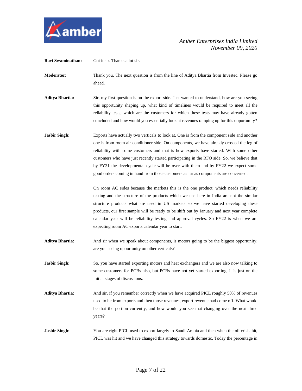

**Ravi Swaminathan:** Got it sir. Thanks a lot sir. **Moderator**: Thank you. The next question is from the line of Aditya Bhartia from Investec. Please go ahead. **Aditya Bhartia:** Sir, my first question is on the export side. Just wanted to understand, how are you seeing this opportunity shaping up, what kind of timelines would be required to meet all the reliability tests, which are the customers for which these tests may have already gotten concluded and how would you essentially look at revenues ramping up for this opportunity? **Jasbir Singh:** Exports have actually two verticals to look at. One is from the component side and another one is from room air conditioner side. On components, we have already crossed the leg of reliability with some customers and that is how exports have started. With some other customers who have just recently started participating in the RFQ side. So, we believe that by FY21 the developmental cycle will be over with them and by FY22 we expect some good orders coming in hand from those customers as far as components are concerned. On room AC sides because the markets this is the one product, which needs reliability testing and the structure of the products which we use here in India are not the similar structure products what are used in US markets so we have started developing these products, our first sample will be ready to be shift out by January and next year complete calendar year will be reliability testing and approval cycles. So FY22 is when we are expecting room AC exports calendar year to start. **Aditya Bhartia:** And sir when we speak about components, is motors going to be the biggest opportunity, are you seeing opportunity on other verticals? **Jasbir Singh:** So, you have started exporting motors and heat exchangers and we are also now talking to some customers for PCBs also, but PCBs have not yet started exporting, it is just on the initial stages of discussions. **Aditya Bhartia:** And sir, if you remember correctly when we have acquired PICL roughly 50% of revenues used to be from exports and then those revenues, export revenue had come off. What would be that the portion currently, and how would you see that changing over the next three years? **Jasbir Singh**: You are right PICL used to export largely to Saudi Arabia and then when the oil crisis hit, PICL was hit and we have changed this strategy towards domestic. Today the percentage in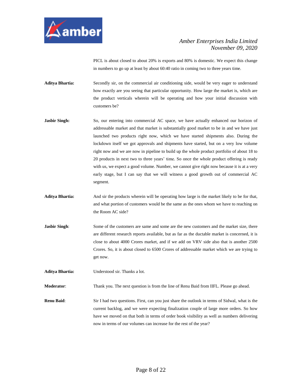

PICL is about closed to about 20% is exports and 80% is domestic. We expect this change in numbers to go up at least by about 60:40 ratio in coming two to three years time.

**Aditya Bhartia:** Secondly sir, on the commercial air conditioning side, would be very eager to understand how exactly are you seeing that particular opportunity. How large the market is, which are the product verticals wherein will be operating and how your initial discussion with customers be?

- **Jasbir Singh:** So, our entering into commercial AC space, we have actually enhanced our horizon of addressable market and that market is substantially good market to be in and we have just launched two products right now, which we have started shipments also. During the lockdown itself we got approvals and shipments have started, but on a very low volume right now and we are now in pipeline to build up the whole product portfolio of about 18 to 20 products in next two to three years' time. So once the whole product offering is ready with us, we expect a good volume. Number, we cannot give right now because it is at a very early stage, but I can say that we will witness a good growth out of commercial AC segment.
- **Aditya Bhartia:** And sir the products wherein will be operating how large is the market likely to be for that, and what portion of customers would be the same as the ones whom we have to reaching on the Room AC side?
- **Jasbir Singh**: Some of the customers are same and some are the new customers and the market size, there are different research reports available, but as far as the ductable market is concerned, it is close to about 4000 Crores market, and if we add on VRV side also that is another 2500 Crores. So, it is about closed to 6500 Crores of addressable market which we are trying to get now.

**Aditya Bhartia:** Understood sir. Thanks a lot.

**Moderator**: Thank you. The next question is from the line of Renu Baid from IIFL. Please go ahead.

**Renu Baid:** Sir I had two questions. First, can you just share the outlook in terms of Sidwal, what is the current backlog, and we were expecting finalization couple of large more orders. So how have we moved on that both in terms of order book visibility as well as numbers delivering now in terms of our volumes can increase for the rest of the year?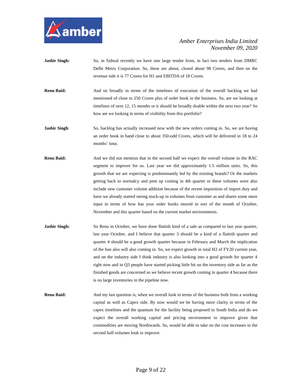

- Jasbir Singh: So, in Sidwal recently we have one large tender from, in fact two tenders from DMRC Delhi Metro Corporation. So, these are about, closed about 98 Crores, and then on the revenue side it is 77 Crores for H1 and EBITDA of 18 Crores.
- **Renu Baid:** And sir broadly in terms of the timelines of execution of the overall backlog we had mentioned of close to 250 Crores plus of order book in the business. So, are we looking at timelines of next 12, 15 months or it should be broadly doable within the next two year? So how are we looking in terms of visibility from this portfolio?
- **Jasbir Singh:** So, backlog has actually increased now with the new orders coming in. So, we are having an order book in hand close to about 350-odd Crores, which will be delivered in 18 to 24 months' time.
- **Renu Baid:** And we did not mention that in the second half we expect the overall volume in the RAC segment to improve for us. Last year we did approximately 1.5 million units. So, this growth that we are expecting is predominantly led by the existing brands? Or the markets getting back to normalcy and pent up coming in 4th quarter or these volumes were also include new customer volume addition because of the recent imposition of import duty and have we already started seeing stuck-up in volumes from customer as and shares some more input in terms of how has your order books moved in sort of the month of October, November and this quarter based on the current market environments.
- **Jasbir Singh:** So Renu in October, we have done flattish kind of a sale as compared to last year quarter, last year October, and I believe that quarter 3 should be a kind of a flattish quarter and quarter 4 should be a good growth quarter because in February and March the implication of the ban also will also coming in. So, we expect growth in total H2 of FY20 current year, and on the industry side I think industry is also looking into a good growth for quarter 4 right now and in Q3 people have started picking little bit on the inventory side as far as the finished goods are concerned so we believe recent growth coming in quarter 4 because there is no large inventories in the pipeline now.
- **Renu Baid:** And my last question is, when we overall look in terms of the business both from a working capital as well as Capex side. By now would we be having more clarity in terms of the capex timelines and the quantum for the facility being proposed in South India and do we expect the overall working capital and pricing environment to improve given that commodities are moving Northwards. So, would be able to take on the cost increases in the second half volumes look to improve.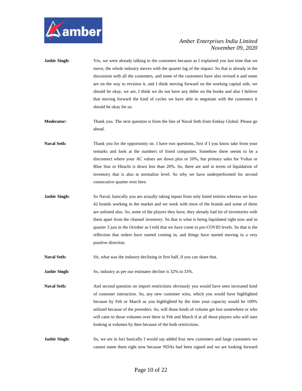

- **Jasbir Singh:** Yes, we were already talking to the customers because as I explained you last time that we move, the whole industry moves with the quarter lag of the impact. So that is already in the discussion with all the customers, and some of the customers have also revised it and some are on the way to revision it, and I think moving forward on the working capital side, we should be okay, we are, I think we do not have any debts on the books and also I believe that moving forward the kind of cycles we have able to negotiate with the customers it should be okay for us.
- **Moderator:** Thank you. The next question is from the line of Naval Seth from Emkay Global. Please go ahead.
- Naval Seth: Thank you for the opportunity sir. I have two questions, first if I you know take from your remarks and look at the numbers of listed companies. Somehow there seems to be a disconnect where your AC values are down plus or 50%, but primary sales for Voltas or Blue Star or Hitachi is down less than 20%. So, there are and in terms of liquidation of inventory that is also at normalize level. So why we have underperformed for second consecutive quarter over here.
- **Jasbir Singh:** So Naval, basically you are actually taking inputs from only listed entities whereas we have 42 brands working in the market and we work with most of the brands and some of them are unlisted also. So, some of the players they have, they already had lot of inventories with them apart from the channel inventory. So that is what is being liquidated right now and in quarter 3 just in the October as I told that we have come to pre-COVID levels. So that is the reflection that orders have started coming in, and things have started moving in a very positive direction.

**Naval Seth:** Sir, what was the industry declining in first half, if you can share that.

**Jasbir Singh:** So, industry as per our estimates decline is 32% to 33%.

**Naval Seth:** And second question on import restrictions obviously you would have seen increased kind of customer interaction. So, any new customer wins, which you would have highlighted because by Feb or March as you highlighted by the time your capacity would be 100% utilized because of the preorders. So, will those kinds of volume get lost somewhere or who will cater to those volumes over there in Feb and March if at all those players who will start looking at volumes by then because of the both restrictions.

**Jasbir Singh:** So, we are in fact basically I would say added four new customers and large customers we cannot name them right now because NDAs had been signed and we are looking forward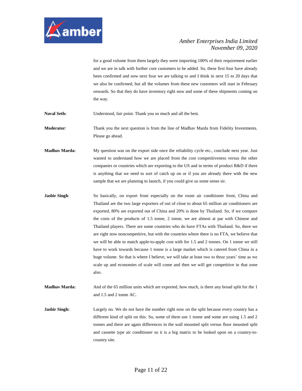

for a good volume from them largely they were importing 100% of their requirement earlier and we are in talk with further core customers to be added. So, these first four have already been confirmed and now next four we are talking to and I think in next 15 to 20 days that we also be confirmed, but all the volumes from these new customers will start in February onwards. So that they do have inventory right now and some of these shipments coming on the way.

Naval Seth: Understood, fair point. Thank you so much and all the best.

**Moderator**: Thank you the next question is from the line of Madhav Marda from Fidelity Investments. Please go ahead.

**Madhav Marda:** My question was on the export side once the reliability cycle etc., conclude next year. Just wanted to understand how we are placed from the cost competitiveness versus the other companies or countries which are exporting to the US and in terms of product R&D if there is anything that we need to sort of catch up on or if you are already there with the new sample that we are planning to launch, if you could give us some sense sir.

**Jasbir Singh:** So basically, on export front especially on the room air conditioner front, China and Thailand are the two large exporters of out of close to about 65 million air conditioners are exported, 80% are exported out of China and 20% is done by Thailand. So, if we compare the costs of the products of 1.5 tonne, 2 tonne, we are almost at par with Chinese and Thailand players. There are some countries who do have FTAs with Thailand. So, there we are right now noncompetitive, but with the countries where there is no FTA, we believe that we will be able to match apple-to-apple cost with for 1.5 and 2 tonnes. On 1 tonne we still have to work towards because 1 tonne is a large market which is catered from China in a huge volume. So that is where I believe, we will take at least two to three years' time as we scale up and economies of scale will come and then we will get competitive in that zone also.

**Madhav Marda:** And of the 65 million units which are exported, how much, is there any broad split for the 1 and 1.5 and 2 tonne AC.

**Jasbir Singh:** Largely no. We do not have the number right now on the split because every country has a different kind of split on this. So, some of them use 1 tonne and some are using 1.5 and 2 tonnes and there are again differences in the wall mounted split versus floor mounted split and cassette type air conditioner so it is a big matrix to be looked upon on a country-tocountry site.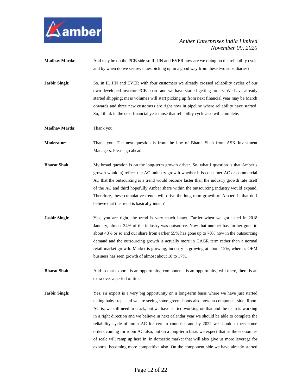

- **Madhav Marda:** And may be on the PCB side so IL JIN and EVER how are we doing on the reliability cycle and by when do we see revenues picking up in a good way from these two subsidiaries?
- **Jasbir Singh:** So, in IL JIN and EVER with four customers we already crossed reliability cycles of our own developed invertor PCB board and we have started getting orders. We have already started shipping; mass volumes will start picking up from next financial year may be March onwards and three new customers are right now in pipeline where reliability have started. So, I think in the next financial year those that reliability cycle also will complete.
- **Madhav Marda:** Thank you.
- **Moderator**: Thank you. The next question is from the line of Bharat Shah from ASK Investment Managers. Please go ahead.
- **Bharat Shah**: My broad question is on the long-term growth driver. So, what I question is that Amber's growth would a) reflect the AC industry growth whether it is consumer AC or commercial AC that the outsourcing is a trend would become faster than the industry growth rate itself of the AC and third hopefully Amber share within the outsourcing industry would expand. Therefore, these cumulative trends will drive the long-term growth of Amber. Is that do I believe that the trend is basically intact?
- **Jasbir Singh:** Yes, you are right, the trend is very much intact. Earlier when we got listed in 2018 January, almost 34% of the industry was outsource. Now that number has further gone to about 48% or so and our share from earlier 55% has gone up to 70% now in the outsourcing demand and the outsourcing growth is actually more in CAGR term rather than a normal retail market growth. Market is growing, industry is growing at about 12%, whereas OEM business has seen growth of almost about 18 to 17%.
- **Bharat Shah**: And to that exports is an opportunity, components is an opportunity, will there, there is an extra over a period of time.
- **Jasbir Singh:** Yes, sir export is a very big opportunity on a long-term basis where we have just started taking baby steps and we are seeing some green shoots also now on component side. Room AC is, we still need to crack, but we have started working on that and the team is working in a right direction and we believe in next calendar year we should be able to complete the reliability cycle of room AC for certain countries and by 2022 we should expect some orders coming for room AC also, but on a long-term basis we expect that as the economies of scale will ramp up here in, in domestic market that will also give us more leverage for exports, becoming more competitive also. On the component side we have already started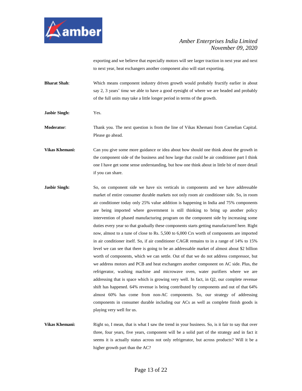

exporting and we believe that especially motors will see larger traction in next year and next to next year, heat exchangers another component also will start exporting.

- **Bharat Shah**: Which means component industry driven growth would probably fructify earlier in about say 2, 3 years' time we able to have a good eyesight of where we are headed and probably of the full units may take a little longer period in terms of the growth.
- **Jasbir Singh:** Yes.

**Moderator**: Thank you. The next question is from the line of Vikas Khemani from Carnelian Capital. Please go ahead.

**Vikas Khemani:** Can you give some more guidance or idea about how should one think about the growth in the component side of the business and how large that could be air conditioner part I think one I have get some sense understanding, but how one think about in little bit of more detail if you can share.

- **Jasbir Singh:** So, on component side we have six verticals in components and we have addressable market of entire consumer durable markets not only room air conditioner side. So, in room air conditioner today only 25% value addition is happening in India and 75% components are being imported where government is still thinking to bring up another policy intervention of phased manufacturing program on the component side by increasing some duties every year so that gradually these components starts getting manufactured here. Right now, almost to a tune of close to Rs. 5,500 to 6,000 Crs worth of components are imported in air conditioner itself. So, if air conditioner CAGR remains to in a range of 14% to 15% level we can see that there is going to be an addressable market of almost about \$2 billion worth of components, which we can settle. Out of that we do not address compressor, but we address motors and PCB and heat exchangers another component on AC side. Plus, the refrigerator, washing machine and microwave oven, water purifiers where we are addressing that is space which is growing very well. In fact, in Q2, our complete revenue shift has happened. 64% revenue is being contributed by components and out of that 64% almost 60% has come from non-AC components. So, our strategy of addressing components in consumer durable including our ACs as well as complete finish goods is playing very well for us.
- **Vikas Khemani:** Right so, I mean, that is what I saw the trend in your business. So, is it fair to say that over three, four years, five years, component will be a solid part of the strategy and in fact it seems it is actually status across not only refrigerator, but across products? Will it be a higher growth part than the AC?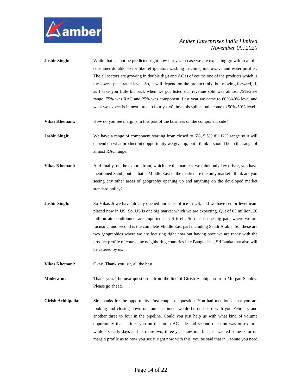

- **Jasbir Singh:** While that cannot be predicted right now but yes in case we are expecting growth in all the consumer durable sector like refrigerator, washing machine, microwave and water purifier. The all sectors are growing in double digit and AC is of course one of the products which is the lowest penetrated level. So, it will depend on the product mix, but moving forward, if, as I take you little bit back when we got listed our revenue split was almost 75%/25% range. 75% was RAC and 25% was component. Last year we came to 60%/40% level and what we expect is in next three to four years' time this split should come to 50%/50% level.
- **Vikas Khemani:** How do you see margins in this part of the business on the component side?
- **Jasbir Singh:** We have a range of component starting from closed to 6%, 5.5% till 12% range so it will depend on what product mix opportunity we give up, but I think it should be in the range of almost RAC range.
- **Vikas Khemani:** And finally, on the exports front, which are the markets, we think only key driver, you have mentioned Saudi, but is that is Middle East in the market are the only market I think are you seeing any other areas of geography opening up and anything on the developed market standard policy?
- **Jasbir Singh:** So Vikas Ji we have already opened our sales office in US, and we have senior level team placed now in US. So, US is one big market which we are expecting. Qut of 65 million, 20 million air conditioners are imported in US itself. So that is one big path where we are focusing, and second is the complete Middle East part including Saudi Arabia. So, these are two geographies where we are focusing right now but having once we are ready with the product profile of course the neighboring countries like Bangladesh, Sri Lanka that also will be catered by us.
- **Vikas Khemani:** Okay. Thank you, sir, all the best.

**Moderator**: Thank you. The next question is from the line of Girish Achhipalia from Morgan Stanley. Please go ahead.

**Girish Achhipalia:** Sir, thanks for the opportunity. Just couple of question. You had mentioned that you are looking and closing down on four customers would be on board with you February and another three to four in the pipeline. Could you just help us with what kind of volume opportunity that entitles you on the room AC side and second question was on exports while six early days and its more two, three year question, but just wanted some color on margin profile as to how you see it right now with this, you be said that in 1 tonne you need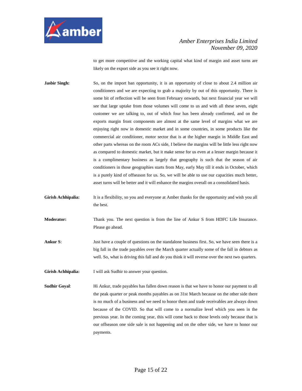

to get more competitive and the working capital what kind of margin and asset turns are likely on the export side as you see it right now.

**Jasbir Singh:** So, on the import ban opportunity, it is an opportunity of close to about 2.4 million air conditioners and we are expecting to grab a majority by out of this opportunity. There is some bit of reflection will be seen from February onwards, but next financial year we will see that large uptake from those volumes will come to us and with all these seven, eight customer we are talking to, out of which four has been already confirmed, and on the exports margin front components are almost at the same level of margins what we are enjoying right now in domestic market and in some countries, in some products like the commercial air conditioner, motor sector that is at the higher margin in Middle East and other parts whereas on the room ACs side, I believe the margins will be little less right now as compared to domestic market, but it make sense for us even at a lesser margin because it is a complimentary business as largely that geography is such that the season of air conditioners in those geographies starts from May, early May till it ends in October, which is a purely kind of offseason for us. So, we will be able to use our capacities much better, asset turns will be better and it will enhance the margins overall on a consolidated basis.

**Girish Achhipalia:** It is a flexibility, so you and everyone at Amber thanks for the opportunity and wish you all the best.

**Moderator:** Thank you. The next question is from the line of Ankur S from HDFC Life Insurance. Please go ahead.

- **Ankur S:** Just have a couple of questions on the standalone business first. So, we have seen there is a big fall in the trade payables over the March quarter actually some of the fall in debtors as well. So, what is driving this fall and do you think it will reverse over the next two quarters.
- **Girish Achhipalia:** I will ask Sudhir to answer your question.
- **Sudhir Goyal**: Hi Ankur, trade payables has fallen down reason is that we have to honor our payment to all the peak quarter or peak months payables as on 31st March because on the other side there is no much of a business and we need to honor them and trade receivables are always down because of the COVID. So that will come to a normalize level which you seen in the previous year. In the coming year, this will come back to those levels only because that is our offseason one side sale is not happening and on the other side, we have to honor our payments.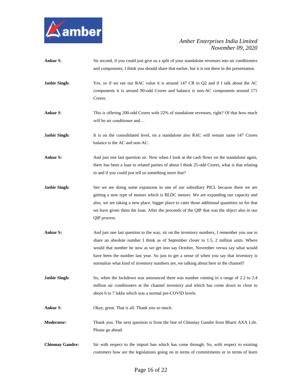

- **Ankur S**: Sir second, if you could just give us a split of your standalone revenues into air conditioners and components, I think you should share that earlier, but it is not there in the presentation.
- **Jasbir Singh:** Yes, so if we see our RAC value it is around 147 CR in Q2 and if I talk about the AC components it is around 90-odd Crores and balance is non-AC components around 171 Crores.
- **Ankur S**: This is offering 200-odd Crores with 22% of standalone revenues, right? Of that how much will be air conditioner and…
- Jasbir Singh: It is on the consolidated level, on a standalone also RAC will remain same 147 Crores balance is the AC and non-AC.
- **Ankur S:** And just one last question sir. Now when I look at the cash flows on the standalone again, there has been a loan to related parties of about I think 25-odd Crores, what is that relating to and if you could just tell us something more that?
- **Jasbir Singh:** See we are doing some expansion in one of our subsidiary PICL because there we are getting a new type of motors which is BLDC motors. We are expanding our capacity and also, we are taking a new place, bigger place to cater those additional quantities so for that we have given them the loan. After the proceeds of the QIP that was the object also in our QIP process.
- **Ankur S:** And just one last question to the way, sir on the inventory numbers, I remember you use to share an absolute number I think as of September closer to 1.5, 2 million units. Where would that number be now as we get into say October, November versus say what would have been the number last year. So just to get a sense of when you say that inventory is normalize what kind of inventory numbers are, we talking about here in the channel?
- **Jasbir Singh:** So, when the lockdown was announced there was number coming in a range of 2.2 to 2.4 million air conditioners at the channel inventory and which has come down to close to about 6 to 7 lakhs which was a normal pre-COVID levels.
- Ankur S: Okay, great. That is all. Thank you so much.
- **Moderator:** Thank you. The next question is from the line of Chinmay Gandre from Bharti AXA Life. Please go ahead.
- **Chinmay Gandre:** Sir with respect to the import ban which has come through. So, with respect to existing customers how are the legislations going on in terms of commitments or in terms of learn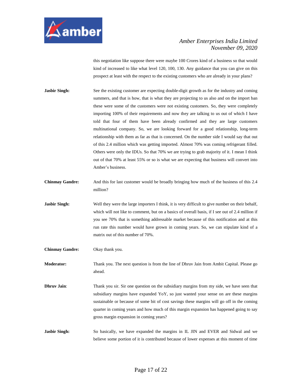

this negotiation like suppose there were maybe 100 Crores kind of a business so that would kind of increased to like what level 120, 100, 130. Any guidance that you can give on this prospect at least with the respect to the existing customers who are already in your plans?

- **Jasbir Singh:** See the existing customer are expecting double-digit growth as for the industry and coming summers, and that is how, that is what they are projecting to us also and on the import ban these were some of the customers were not existing customers. So, they were completely importing 100% of their requirements and now they are talking to us out of which I have told that four of them have been already confirmed and they are large customers multinational company. So, we are looking forward for a good relationship, long-term relationship with them as far as that is concerned. On the number side I would say that out of this 2.4 million which was getting imported. Almost 70% was coming refrigerant filled. Others were only the IDUs. So that 70% we are trying to grab majority of it. I mean I think out of that 70% at least 55% or so is what we are expecting that business will convert into Amber's business.
- **Chinmay Gandre:** And this for last customer would be broadly bringing how much of the business of this 2.4 million?
- **Jasbir Singh:** Well they were the large importers I think, it is very difficult to give number on their behalf, which will not like to comment, but on a basics of overall basis, if I see out of 2.4 million if you see 70% that is something addressable market because of this notification and at this run rate this number would have grown in coming years. So, we can stipulate kind of a matrix out of this number of 70%.
- **Chinmay Gandre:** Okay thank you.

**Moderator:** Thank you. The next question is from the line of Dhruv Jain from Ambit Capital. Please go ahead.

**Dhruv Jain:** Thank you sir. Sir one question on the subsidiary margins from my side, we have seen that subsidiary margins have expanded YoY, so just wanted your sense on are these margins sustainable or because of some bit of cost savings these margins will go off in the coming quarter in coming years and how much of this margin expansion has happened going to say gross margin expansion in coming years?

**Jasbir Singh:** So basically, we have expanded the margins in IL JIN and EVER and Sidwal and we believe some portion of it is contributed because of lower expenses at this moment of time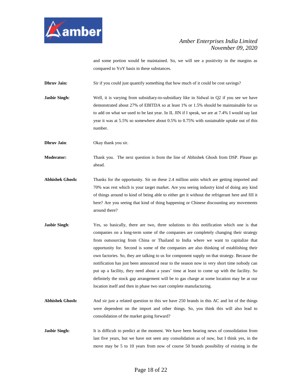

and some portion would be maintained. So, we will see a positivity in the margins as compared to YoY basis in these substances.

**Dhruv Jain:** Sir if you could just quantify something that how much of it could be cost savings?

**Jasbir Singh:** Well, it is varying from subsidiary-to-subsidiary like in Sidwal in Q2 if you see we have demonstrated about 27% of EBITDA so at least 1% or 1.5% should be maintainable for us to add on what we used to be last year. In IL JIN if I speak, we are at 7.4% I would say last year it was at 5.5% so somewhere about 0.5% to 0.75% with sustainable uptake out of this number.

**Dhruv Jain:** Okay thank you sir.

**Moderator:** Thank you. The next question is from the line of Abhishek Ghosh from DSP. Please go ahead.

- **Abhishek Ghosh:** Thanks for the opportunity. Sir on these 2.4 million units which are getting imported and 70% was rest which is your target market. Are you seeing industry kind of doing any kind of things around to kind of being able to either get it without the refrigerant here and fill it here? Are you seeing that kind of thing happening or Chinese discounting any movements around there?
- **Jasbir Singh:** Yes, so basically, there are two, three solutions to this notification which one is that companies on a long-term some of the companies are completely changing their strategy from outsourcing from China or Thailand to India where we want to capitalize that opportunity for. Second is some of the companies are also thinking of establishing their own factories. So, they are talking to us for component supply on that strategy. Because the notification has just been announced near to the season now in very short time nobody can put up a facility, they need about a years' time at least to come up with the facility. So definitely the stock gap arrangement will be to gas charge at some location may be at our location itself and then in phase two start complete manufacturing.
- **Abhishek Ghosh:** And sir just a related question to this we have 250 brands in this AC and lot of the things were dependent on the import and other things. So, you think this will also lead to consolidation of the market going forward?
- **Jasbir Singh:** It is difficult to predict at the moment. We have been hearing news of consolidation from last five years, but we have not seen any consolidation as of now, but I think yes, in the move may be 5 to 10 years from now of course 50 brands possibility of existing in the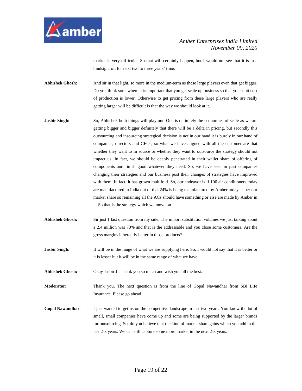

market is very difficult. So that will certainly happen, but I would not see that it is in a hindsight of, for next two to three years' time.

**Abhishek Ghosh:** And sir in that light, so more in the medium-term as these large players even that get bigger. Do you think somewhere it is important that you get scale up business so that your unit cost of production is lower. Otherwise to get pricing from these large players who are really getting larger will be difficult is that the way we should look at it.

- **Jasbir Singh:** So, Abhishek both things will play out. One is definitely the economies of scale as we are getting bigger and bigger definitely that there will be a delta in pricing, but secondly this outsourcing and insourcing strategical decision is not in our hand it is purely in our hand of companies, directors and CEOs, so what we have aligned with all the customer are that whether they want to in source or whether they want to outsource the strategy should not impact us. In fact, we should be deeply penetrated in their wallet share of offering of components and finish good whatever they need. So, we have seen in past companies changing their strategies and our business post their changes of strategies have improved with them. In fact, it has grown multifold. So, our endeavor is if 100 air conditioners today are manufactured in India out of that 24% is being manufactured by Amber today as per our market share so remaining all the ACs should have something or else are made by Amber in it. So that is the strategy which we move on.
- **Abhishek Ghosh:** Sir just 1 last question from my side. The import substitution volumes we just talking about a 2.4 million was 70% and that is the addressable and you close some customers. Are the gross margins inherently better in those products?
- **Jasbir Singh:** It will be in the range of what we are supplying here. So, I would not say that it is better or it is lesser but it will be in the same range of what we have.

**Abhishek Ghosh:** Okay Jasbir Ji. Thank you so much and wish you all the best.

**Moderator:** Thank you. The next question is from the line of Gopal Nawandhar from SBI Life Insurance. Please go ahead.

**Gopal Nawandhar**: I just wanted to get us on the competitive landscape in last two years. You know the lot of small, small companies have come up and some are being supported by the larger brands for outsourcing. So, do you believe that the kind of market share gains which you add in the last 2-3 years. We can still capture some more market in the next 2-3 years.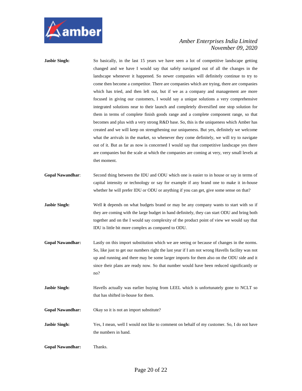

- **Jasbir Singh:** So basically, in the last 15 years we have seen a lot of competitive landscape getting changed and we have I would say that safely navigated out of all the changes in the landscape whenever it happened. So newer companies will definitely continue to try to come then become a competitor. There are companies which are trying, there are companies which has tried, and then left out, but if we as a company and management are more focused in giving our customers, I would say a unique solutions a very comprehensive integrated solutions near to their launch and completely diversified one stop solution for them in terms of complete finish goods range and a complete component range, so that becomes and plus with a very strong R&D base. So, this is the uniqueness which Amber has created and we will keep on strengthening our uniqueness. But yes, definitely we welcome what the arrivals in the market, so whenever they come definitely, we will try to navigate out of it. But as far as now is concerned I would say that competitive landscape yes there are companies but the scale at which the companies are coming at very, very small levels at thet moment.
- **Gopal Nawandhar**: Second thing between the IDU and ODU which one is easier to in house or say in terms of capital intensity or technology or say for example if any brand one to make it in-house whether he will prefer IDU or ODU or anything if you can get, give some sense on that?
- **Jasbir Singh:** Well it depends on what budgets brand or may be any company wants to start with so if they are coming with the large budget in hand definitely, they can start ODU and bring both together and on the I would say complexity of the product point of view we would say that IDU is little bit more complex as compared to ODU.
- **Gopal Nawandhar:** Lastly on this import substitution which we are seeing or because of changes in the norms. So, like just to get our numbers right the last year if I am not wrong Havells facility was not up and running and there may be some larger imports for them also on the ODU side and it since their plans are ready now. So that number would have been reduced significantly or no?
- **Jasbir Singh:** Havells actually was earlier buying from LEEL which is unfortunately gone to NCLT so that has shifted in-house for them.
- **Gopal Nawandhar:** Okay so it is not an import substitute?

**Jasbir Singh:** Yes, I mean, well I would not like to comment on behalf of my customer. So, I do not have the numbers in hand.

**Gopal Nawandhar:** Thanks.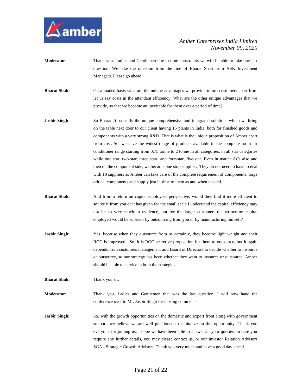

- **Moderator** Thank you. Ladies and Gentlemen due to time constraints we will be able to take one last question. We take the question from the line of Bharat Shah from ASK Investment Managers. Please go ahead.
- **Bharat Shah:** On a loaded basis what are the unique advantages we provide to our customers apart from let us say costs in the attendant efficiency. What are the other unique advantages that we provide, so that we become an inevitable for them over a period of time?
- **Jasbir Singh** So Bharat Ji basically the unique comprehensive and integrated solutions which we bring on the table next door to our client having 15 plants in India, both for finished goods and components with a very strong R&D. That is what is the unique proposition of Amber apart from cost. So, we have the widest range of products available in the complete room air conditioner range starting from 0.75 tonne to 2 tonne in all categories, in all star categories while one star, two-star, three start, and four-star, five-star. Even in matter ACs also and then on the component side, we become one stop supplier. They do not need to have to deal with 10 suppliers as Amber can take care of the complete requirement of components, large critical components and supply just in time to them as and when needed.
- **Bharat Shah:** And from a return on capital employees perspective, would they find it more efficient to source it from you or it has given for the small scale I understand the capital efficiency may not be so very much in evidence, but for the larger customer, the written-on capital employed would be superior by outsourcing from you or by manufacturing himself?
- **Jasbir Singh:** Yes, because when they outsource from us certainly, they become light weight and their ROC is improved. So, it is ROC accretive proposition for them to outsource, but it again depends from customers management and Board of Directors to decide whether to insource or outsource, so our strategy has been whether they want to insource or outsource. Amber should be able to service in both the strategies.

**Bharat Shah:** Thank you sir.

**Moderator**: Thank you. Ladies and Gentlemen that was the last question. I will now hand the conference over to Mr. Jasbir Singh for closing comments.

**Jasbir Singh:** So, with the growth opportunities on the domestic and export front along with government support, we believe we are well positioned to capitalize on this opportunity. Thank you everyone for joining us. I hope we have been able to answer all your queries. In case you require any further details, you may please contact us, or our Investor Relation Advisors SGA - Strategic Growth Advisors. Thank you very much and have a good day ahead.